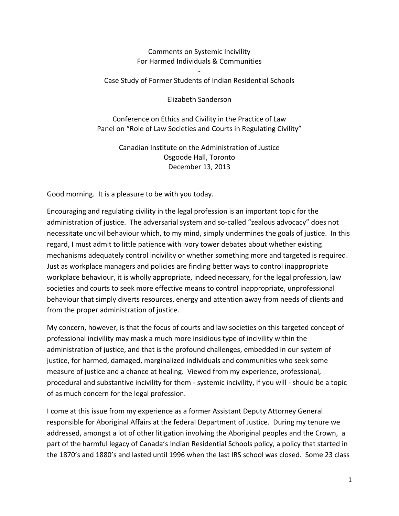## Comments on Systemic Incivility For Harmed Individuals & Communities

## - Case Study of Former Students of Indian Residential Schools

Elizabeth Sanderson

Conference on Ethics and Civility in the Practice of Law Panel on "Role of Law Societies and Courts in Regulating Civility"

> Canadian Institute on the Administration of Justice Osgoode Hall, Toronto December 13, 2013

Good morning. It is a pleasure to be with you today.

Encouraging and regulating civility in the legal profession is an important topic for the administration of justice. The adversarial system and so-called "zealous advocacy" does not necessitate uncivil behaviour which, to my mind, simply undermines the goals of justice. In this regard, I must admit to little patience with ivory tower debates about whether existing mechanisms adequately control incivility or whether something more and targeted is required. Just as workplace managers and policies are finding better ways to control inappropriate workplace behaviour, it is wholly appropriate, indeed necessary, for the legal profession, law societies and courts to seek more effective means to control inappropriate, unprofessional behaviour that simply diverts resources, energy and attention away from needs of clients and from the proper administration of justice.

My concern, however, is that the focus of courts and law societies on this targeted concept of professional incivility may mask a much more insidious type of incivility within the administration of justice, and that is the profound challenges, embedded in our system of justice, for harmed, damaged, marginalized individuals and communities who seek some measure of justice and a chance at healing. Viewed from my experience, professional, procedural and substantive incivility for them - systemic incivility, if you will - should be a topic of as much concern for the legal profession.

I come at this issue from my experience as a former Assistant Deputy Attorney General responsible for Aboriginal Affairs at the federal Department of Justice. During my tenure we addressed, amongst a lot of other litigation involving the Aboriginal peoples and the Crown, a part of the harmful legacy of Canada's Indian Residential Schools policy, a policy that started in the 1870's and 1880's and lasted until 1996 when the last IRS school was closed. Some 23 class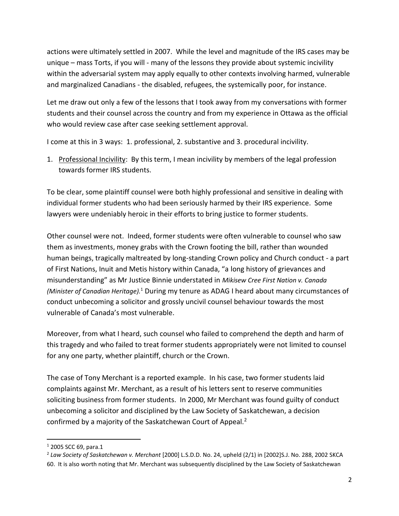actions were ultimately settled in 2007. While the level and magnitude of the IRS cases may be unique – mass Torts, if you will - many of the lessons they provide about systemic incivility within the adversarial system may apply equally to other contexts involving harmed, vulnerable and marginalized Canadians - the disabled, refugees, the systemically poor, for instance.

Let me draw out only a few of the lessons that I took away from my conversations with former students and their counsel across the country and from my experience in Ottawa as the official who would review case after case seeking settlement approval.

I come at this in 3 ways: 1. professional, 2. substantive and 3. procedural incivility.

1. Professional Incivility: By this term, I mean incivility by members of the legal profession towards former IRS students.

To be clear, some plaintiff counsel were both highly professional and sensitive in dealing with individual former students who had been seriously harmed by their IRS experience. Some lawyers were undeniably heroic in their efforts to bring justice to former students.

Other counsel were not. Indeed, former students were often vulnerable to counsel who saw them as investments, money grabs with the Crown footing the bill, rather than wounded human beings, tragically maltreated by long-standing Crown policy and Church conduct - a part of First Nations, Inuit and Metis history within Canada, "a long history of grievances and misunderstanding" as Mr Justice Binnie understated in *Mikisew Cree First Nation v. Canada (Minister of Canadian Heritage).*<sup>1</sup> During my tenure as ADAG I heard about many circumstances of conduct unbecoming a solicitor and grossly uncivil counsel behaviour towards the most vulnerable of Canada's most vulnerable.

Moreover, from what I heard, such counsel who failed to comprehend the depth and harm of this tragedy and who failed to treat former students appropriately were not limited to counsel for any one party, whether plaintiff, church or the Crown.

The case of Tony Merchant is a reported example. In his case, two former students laid complaints against Mr. Merchant, as a result of his letters sent to reserve communities soliciting business from former students. In 2000, Mr Merchant was found guilty of conduct unbecoming a solicitor and disciplined by the Law Society of Saskatchewan, a decision confirmed by a majority of the Saskatchewan Court of Appeal.<sup>2</sup>

 $\overline{\phantom{a}}$ 

<sup>1</sup> 2005 SCC 69, para.1

<sup>2</sup> *Law Society of Saskatchewan v. Merchant* [2000] L.S.D.D. No. 24, upheld (2/1) in [2002]S.J. No. 288, 2002 SKCA 60. It is also worth noting that Mr. Merchant was subsequently disciplined by the Law Society of Saskatchewan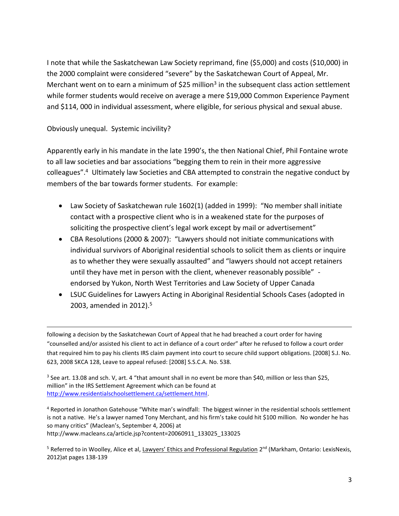I note that while the Saskatchewan Law Society reprimand, fine (\$5,000) and costs (\$10,000) in the 2000 complaint were considered "severe" by the Saskatchewan Court of Appeal, Mr. Merchant went on to earn a minimum of \$25 million<sup>3</sup> in the subsequent class action settlement while former students would receive on average a mere \$19,000 Common Experience Payment and \$114, 000 in individual assessment, where eligible, for serious physical and sexual abuse.

Obviously unequal. Systemic incivility?

 $\overline{a}$ 

Apparently early in his mandate in the late 1990's, the then National Chief, Phil Fontaine wrote to all law societies and bar associations "begging them to rein in their more aggressive colleagues".<sup>4</sup> Ultimately law Societies and CBA attempted to constrain the negative conduct by members of the bar towards former students. For example:

- Law Society of Saskatchewan rule 1602(1) (added in 1999): "No member shall initiate contact with a prospective client who is in a weakened state for the purposes of soliciting the prospective client's legal work except by mail or advertisement"
- CBA Resolutions (2000 & 2007): "Lawyers should not initiate communications with individual survivors of Aboriginal residential schools to solicit them as clients or inquire as to whether they were sexually assaulted" and "lawyers should not accept retainers until they have met in person with the client, whenever reasonably possible" endorsed by Yukon, North West Territories and Law Society of Upper Canada
- LSUC Guidelines for Lawyers Acting in Aboriginal Residential Schools Cases (adopted in 2003, amended in 2012).<sup>5</sup>

following a decision by the Saskatchewan Court of Appeal that he had breached a court order for having "counselled and/or assisted his client to act in defiance of a court order" after he refused to follow a court order that required him to pay his clients IRS claim payment into court to secure child support obligations. [2008] S.J. No. 623, 2008 SKCA 128, Leave to appeal refused: [2008] S.S.C.A. No. 538.

<sup>3</sup> See art. 13.08 and sch. V, art. 4 "that amount shall in no event be more than \$40, million or less than \$25, million" in the IRS Settlement Agreement which can be found at [http://www.residentialschoolsettlement.ca/settlement.html.](http://www.residentialschoolsettlement.ca/settlement.html) 

<sup>4</sup> Reported in Jonathon Gatehouse "White man's windfall: The biggest winner in the residential schools settlement is not a native. He's a lawyer named Tony Merchant, and his firm's take could hit \$100 million. No wonder he has so many critics" (Maclean's, September 4, 2006) at http://www.macleans.ca/article.jsp?content=20060911\_133025\_133025

<sup>5</sup> Referred to in Woolley, Alice et al, Lawyers' Ethics and Professional Regulation 2<sup>nd</sup> (Markham, Ontario: LexisNexis, 2012)at pages 138-139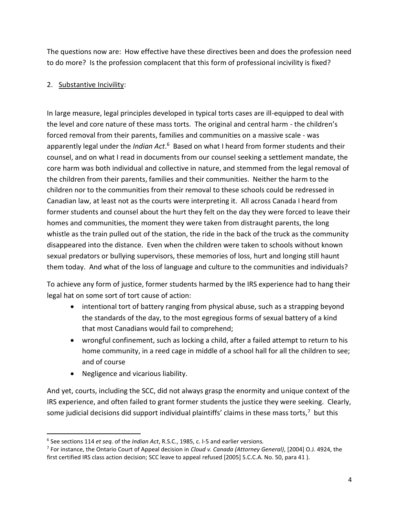The questions now are: How effective have these directives been and does the profession need to do more? Is the profession complacent that this form of professional incivility is fixed?

## 2. Substantive Incivility:

In large measure, legal principles developed in typical torts cases are ill-equipped to deal with the level and core nature of these mass torts. The original and central harm - the children's forced removal from their parents, families and communities on a massive scale - was apparently legal under the *Indian Act*.<sup>6</sup> Based on what I heard from former students and their counsel, and on what I read in documents from our counsel seeking a settlement mandate, the core harm was both individual and collective in nature, and stemmed from the legal removal of the children from their parents, families and their communities. Neither the harm to the children nor to the communities from their removal to these schools could be redressed in Canadian law, at least not as the courts were interpreting it. All across Canada I heard from former students and counsel about the hurt they felt on the day they were forced to leave their homes and communities, the moment they were taken from distraught parents, the long whistle as the train pulled out of the station, the ride in the back of the truck as the community disappeared into the distance. Even when the children were taken to schools without known sexual predators or bullying supervisors, these memories of loss, hurt and longing still haunt them today. And what of the loss of language and culture to the communities and individuals?

To achieve any form of justice, former students harmed by the IRS experience had to hang their legal hat on some sort of tort cause of action:

- intentional tort of battery ranging from physical abuse, such as a strapping beyond the standards of the day, to the most egregious forms of sexual battery of a kind that most Canadians would fail to comprehend;
- wrongful confinement, such as locking a child, after a failed attempt to return to his home community, in a reed cage in middle of a school hall for all the children to see; and of course
- Negligence and vicarious liability.

 $\overline{a}$ 

And yet, courts, including the SCC, did not always grasp the enormity and unique context of the IRS experience, and often failed to grant former students the justice they were seeking. Clearly, some judicial decisions did support individual plaintiffs' claims in these mass torts,<sup>7</sup> but this

<sup>6</sup> See sections 114 *et seq.* of the *Indian Act*, R.S.C., 1985, c. I-5 and earlier versions*.* 

<sup>7</sup> For instance, the Ontario Court of Appeal decision in *Cloud v. Canada (Attorney General)*, [2004] O.J. 4924, the first certified IRS class action decision; SCC leave to appeal refused [2005] S.C.C.A. No. 50, para 41 ).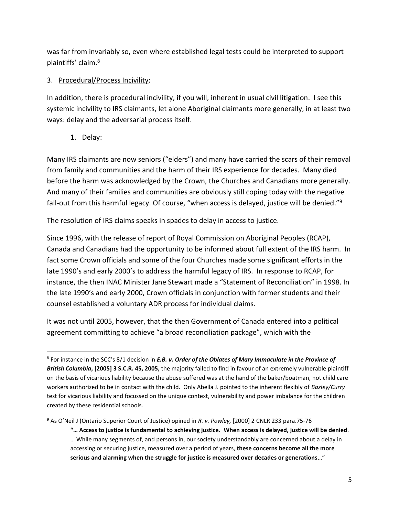was far from invariably so, even where established legal tests could be interpreted to support plaintiffs' claim.<sup>8</sup>

## 3. Procedural/Process Incivility:

In addition, there is procedural incivility, if you will, inherent in usual civil litigation. I see this systemic incivility to IRS claimants, let alone Aboriginal claimants more generally, in at least two ways: delay and the adversarial process itself.

1. Delay:

Many IRS claimants are now seniors ("elders") and many have carried the scars of their removal from family and communities and the harm of their IRS experience for decades. Many died before the harm was acknowledged by the Crown, the Churches and Canadians more generally. And many of their families and communities are obviously still coping today with the negative fall-out from this harmful legacy. Of course, "when access is delayed, justice will be denied."<sup>9</sup>

The resolution of IRS claims speaks in spades to delay in access to justice.

Since 1996, with the release of report of Royal Commission on Aboriginal Peoples (RCAP), Canada and Canadians had the opportunity to be informed about full extent of the IRS harm. In fact some Crown officials and some of the four Churches made some significant efforts in the late 1990's and early 2000's to address the harmful legacy of IRS. In response to RCAP, for instance, the then INAC Minister Jane Stewart made a "Statement of Reconciliation" in 1998. In the late 1990's and early 2000, Crown officials in conjunction with former students and their counsel established a voluntary ADR process for individual claims.

It was not until 2005, however, that the then Government of Canada entered into a political agreement committing to achieve "a broad reconciliation package", which with the

<sup>9</sup> As O'Neil J (Ontario Superior Court of Justice) opined in *R. v. Powley,* [2000] 2 CNLR 233 para.75-76

l 8 For instance in the SCC's 8/1 decision in *E.B. v. Order of the Oblates of Mary Immaculate in the Province of British Columbia***, [2005] 3 S.C.R. 45, 2005,** the majority failed to find in favour of an extremely vulnerable plaintiff on the basis of vicarious liability because the abuse suffered was at the hand of the baker/boatman, not child care workers authorized to be in contact with the child. Only Abella J. pointed to the inherent flexibly of *Bazley/Curry* test for vicarious liability and focussed on the unique context, vulnerability and power imbalance for the children created by these residential schools.

**<sup>&</sup>quot;… Access to justice is fundamental to achieving justice. When access is delayed, justice will be denied**. … While many segments of, and persons in, our society understandably are concerned about a delay in accessing or securing justice, measured over a period of years, **these concerns become all the more serious and alarming when the struggle for justice is measured over decades or generations**…"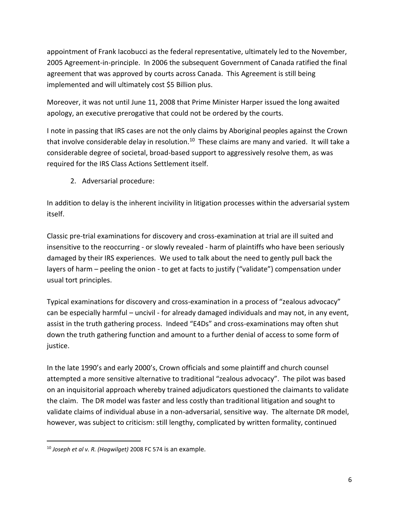appointment of Frank Iacobucci as the federal representative, ultimately led to the November, 2005 Agreement-in-principle. In 2006 the subsequent Government of Canada ratified the final agreement that was approved by courts across Canada. This Agreement is still being implemented and will ultimately cost \$5 Billion plus.

Moreover, it was not until June 11, 2008 that Prime Minister Harper issued the long awaited apology, an executive prerogative that could not be ordered by the courts.

I note in passing that IRS cases are not the only claims by Aboriginal peoples against the Crown that involve considerable delay in resolution.<sup>10</sup> These claims are many and varied. It will take a considerable degree of societal, broad-based support to aggressively resolve them, as was required for the IRS Class Actions Settlement itself.

2. Adversarial procedure:

In addition to delay is the inherent incivility in litigation processes within the adversarial system itself.

Classic pre-trial examinations for discovery and cross-examination at trial are ill suited and insensitive to the reoccurring - or slowly revealed - harm of plaintiffs who have been seriously damaged by their IRS experiences. We used to talk about the need to gently pull back the layers of harm – peeling the onion - to get at facts to justify ("validate") compensation under usual tort principles.

Typical examinations for discovery and cross-examination in a process of "zealous advocacy" can be especially harmful – uncivil - for already damaged individuals and may not, in any event, assist in the truth gathering process. Indeed "E4Ds" and cross-examinations may often shut down the truth gathering function and amount to a further denial of access to some form of justice.

In the late 1990's and early 2000's, Crown officials and some plaintiff and church counsel attempted a more sensitive alternative to traditional "zealous advocacy". The pilot was based on an inquisitorial approach whereby trained adjudicators questioned the claimants to validate the claim. The DR model was faster and less costly than traditional litigation and sought to validate claims of individual abuse in a non-adversarial, sensitive way. The alternate DR model, however, was subject to criticism: still lengthy, complicated by written formality, continued

 $\overline{\phantom{a}}$ 

<sup>10</sup> *Joseph et al v. R. (Hagwilget)* 2008 FC 574 is an example.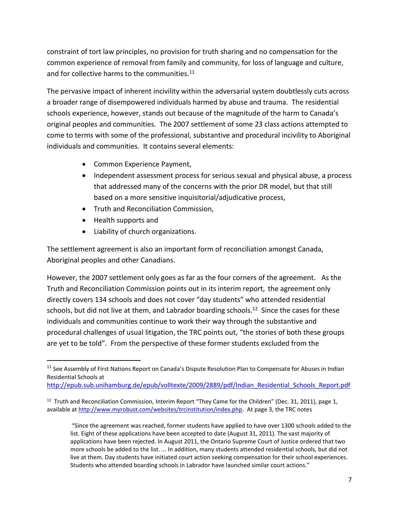constraint of tort law principles, no provision for truth sharing and no compensation for the common experience of removal from family and community, for loss of language and culture, and for collective harms to the communities.<sup>11</sup>

The pervasive impact of inherent incivility within the adversarial system doubtlessly cuts across a broader range of disempowered individuals harmed by abuse and trauma. The residential schools experience, however, stands out because of the magnitude of the harm to Canada's original peoples and communities. The 2007 settlement of some 23 class actions attempted to come to terms with some of the professional, substantive and procedural incivility to Aboriginal individuals and communities. It contains several elements:

- Common Experience Payment,
- Independent assessment process for serious sexual and physical abuse, a process that addressed many of the concerns with the prior DR model, but that still based on a more sensitive inquisitorial/adjudicative process,
- **•** Truth and Reconciliation Commission,
- Health supports and

 $\overline{\phantom{a}}$ 

Liability of church organizations.

The settlement agreement is also an important form of reconciliation amongst Canada, Aboriginal peoples and other Canadians.

However, the 2007 settlement only goes as far as the four corners of the agreement. As the Truth and Reconciliation Commission points out in its interim report, the agreement only directly covers 134 schools and does not cover "day students" who attended residential schools, but did not live at them, and Labrador boarding schools.<sup>12</sup> Since the cases for these individuals and communities continue to work their way through the substantive and procedural challenges of usual litigation, the TRC points out, "the stories of both these groups are yet to be told". From the perspective of these former students excluded from the

<sup>&</sup>lt;sup>11</sup> See Assembly of First Nations Report on Canada's Dispute Resolution Plan to Compensate for Abuses in Indian Residential Schools at

[http://epub.sub.unihamburg.de/epub/volltexte/2009/2889/pdf/Indian\\_Residential\\_Schools\\_Report.pdf](http://epub.sub.unihamburg.de/epub/volltexte/2009/2889/pdf/Indian_Residential_Schools_Report.pdf)

<sup>&</sup>lt;sup>12</sup> Truth and Reconciliation Commission, Interim Report "They Came for the Children" (Dec. 31, 2011), page 1, available a[t http://www.myrobust.com/websites/trcinstitution/index.php.](http://www.myrobust.com/websites/trcinstitution/index.php) At page 3, the TRC notes

<sup>&</sup>quot;Since the agreement was reached, former students have applied to have over 1300 schools added to the list. Eight of these applications have been accepted to date (August 31, 2011). The vast majority of applications have been rejected. In August 2011, the Ontario Supreme Court of Justice ordered that two more schools be added to the list. ... In addition, many students attended residential schools, but did not live at them. Day students have initiated court action seeking compensation for their school experiences. Students who attended boarding schools in Labrador have launched similar court actions."